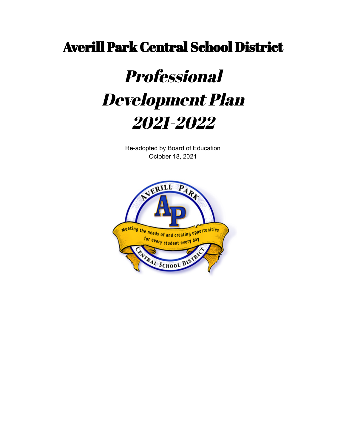# Averill Park Central School District

# Professional Development Plan 2021-2022

Re-adopted by Board of Education October 18, 2021

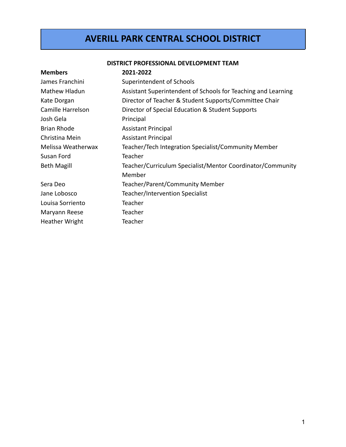# **AVERILL PARK CENTRAL SCHOOL DISTRICT**

#### **DISTRICT PROFESSIONAL DEVELOPMENT TEAM**

| 2021-2022                                                     |
|---------------------------------------------------------------|
| Superintendent of Schools                                     |
| Assistant Superintendent of Schools for Teaching and Learning |
| Director of Teacher & Student Supports/Committee Chair        |
| Director of Special Education & Student Supports              |
| Principal                                                     |
| <b>Assistant Principal</b>                                    |
| <b>Assistant Principal</b>                                    |
| Teacher/Tech Integration Specialist/Community Member          |
| Teacher                                                       |
| Teacher/Curriculum Specialist/Mentor Coordinator/Community    |
| Member                                                        |
| Teacher/Parent/Community Member                               |
| Teacher/Intervention Specialist                               |
| Teacher                                                       |
| Teacher                                                       |
| Teacher                                                       |
|                                                               |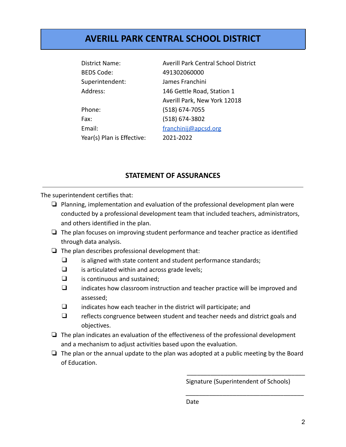# **AVERILL PARK CENTRAL SCHOOL DISTRICT**

| <b>District Name:</b>      | <b>Averill Park Central School District</b> |
|----------------------------|---------------------------------------------|
| <b>BEDS Code:</b>          | 491302060000                                |
| Superintendent:            | James Franchini                             |
| Address:                   | 146 Gettle Road, Station 1                  |
|                            | Averill Park, New York 12018                |
| Phone:                     | $(518) 674 - 7055$                          |
| Fax:                       | (518) 674-3802                              |
| Email:                     | franchinij@apcsd.org                        |
| Year(s) Plan is Effective: | 2021-2022                                   |

# **STATEMENT OF ASSURANCES**

The superintendent certifies that:

- ❏ Planning, implementation and evaluation of the professional development plan were conducted by a professional development team that included teachers, administrators, and others identified in the plan.
- ❏ The plan focuses on improving student performance and teacher practice as identified through data analysis.
- ❏ The plan describes professional development that:
	- ❑ is aligned with state content and student performance standards;
	- ❑ is articulated within and across grade levels;
	- ❑ is continuous and sustained;
	- ❑ indicates how classroom instruction and teacher practice will be improved and assessed;
	- ❑ indicates how each teacher in the district will participate; and
	- ❑ reflects congruence between student and teacher needs and district goals and objectives.
- ❏ The plan indicates an evaluation of the effectiveness of the professional development and a mechanism to adjust activities based upon the evaluation.
- ❏ The plan or the annual update to the plan was adopted at a public meeting by the Board of Education.

Signature (Superintendent of Schools)

\_\_\_\_\_\_\_\_\_\_\_\_\_\_\_\_\_\_\_\_\_\_\_\_\_\_\_\_\_\_\_\_\_\_\_

\_\_\_\_\_\_\_\_\_\_\_\_\_\_\_\_\_\_\_\_\_\_\_\_\_\_\_\_\_\_\_\_\_\_\_

Date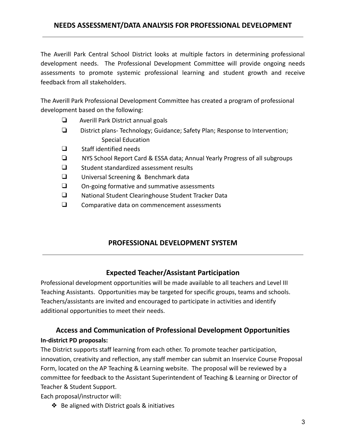# **NEEDS ASSESSMENT/DATA ANALYSIS FOR PROFESSIONAL DEVELOPMENT**

The Averill Park Central School District looks at multiple factors in determining professional development needs. The Professional Development Committee will provide ongoing needs assessments to promote systemic professional learning and student growth and receive feedback from all stakeholders.

The Averill Park Professional Development Committee has created a program of professional development based on the following:

- ❏ Averill Park District annual goals
- ❏ District plans- Technology; Guidance; Safety Plan; Response to Intervention; Special Education
- ❑ Staff identified needs
- ❏ NYS School Report Card & ESSA data; Annual Yearly Progress of all subgroups
- ❑ Student standardized assessment results
- ❑ Universal Screening & Benchmark data
- ❑ On-going formative and summative assessments
- ❑ National Student Clearinghouse Student Tracker Data
- ❑ Comparative data on commencement assessments

# **PROFESSIONAL DEVELOPMENT SYSTEM**

#### **Expected Teacher/Assistant Participation**

Professional development opportunities will be made available to all teachers and Level III Teaching Assistants. Opportunities may be targeted for specific groups, teams and schools. Teachers/assistants are invited and encouraged to participate in activities and identify additional opportunities to meet their needs.

# **Access and Communication of Professional Development Opportunities In-district PD proposals:**

The District supports staff learning from each other. To promote teacher participation, innovation, creativity and reflection, any staff member can submit an Inservice Course Proposal Form, located on the AP Teaching & Learning website. The proposal will be reviewed by a committee for feedback to the Assistant Superintendent of Teaching & Learning or Director of Teacher & Student Support.

Each proposal/instructor will:

❖ Be aligned with District goals & initiatives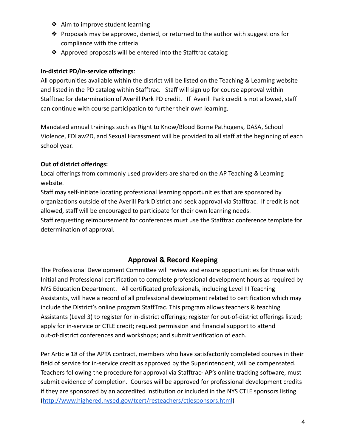- ❖ Aim to improve student learning
- ❖ Proposals may be approved, denied, or returned to the author with suggestions for compliance with the criteria
- ❖ Approved proposals will be entered into the Stafftrac catalog

#### **In-district PD/in-service offerings**:

All opportunities available within the district will be listed on the Teaching & Learning website and listed in the PD catalog within Stafftrac. Staff will sign up for course approval within Stafftrac for determination of Averill Park PD credit. If Averill Park credit is not allowed, staff can continue with course participation to further their own learning.

Mandated annual trainings such as Right to Know/Blood Borne Pathogens, DASA, School Violence, EDLaw2D, and Sexual Harassment will be provided to all staff at the beginning of each school year.

## **Out of district offerings:**

Local offerings from commonly used providers are shared on the AP Teaching & Learning website.

Staff may self-initiate locating professional learning opportunities that are sponsored by organizations outside of the Averill Park District and seek approval via Stafftrac. If credit is not allowed, staff will be encouraged to participate for their own learning needs.

Staff requesting reimbursement for conferences must use the Stafftrac conference template for determination of approval.

# **Approval & Record Keeping**

The Professional Development Committee will review and ensure opportunities for those with Initial and Professional certification to complete professional development hours as required by NYS Education Department. All certificated professionals, including Level III Teaching Assistants, will have a record of all professional development related to certification which may include the District's online program StaffTrac. This program allows teachers & teaching Assistants (Level 3) to register for in-district offerings; register for out-of-district offerings listed; apply for in-service or CTLE credit; request permission and financial support to attend out-of-district conferences and workshops; and submit verification of each.

Per Article 18 of the APTA contract, members who have satisfactorily completed courses in their field of service for in-service credit as approved by the Superintendent, will be compensated. Teachers following the procedure for approval via Stafftrac- AP's online tracking software, must submit evidence of completion. Courses will be approved for professional development credits if they are sponsored by an accredited institution or included in the NYS CTLE sponsors listing (<http://www.highered.nysed.gov/tcert/resteachers/ctlesponsors.html>)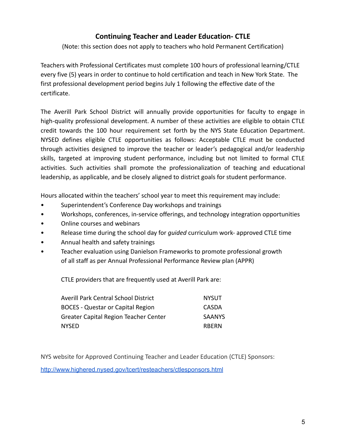# **Continuing Teacher and Leader Education- CTLE**

(Note: this section does not apply to teachers who hold Permanent Certification)

Teachers with Professional Certificates must complete 100 hours of professional learning/CTLE every five (5) years in order to continue to hold certification and teach in New York State. The first professional development period begins July 1 following the effective date of the certificate.

The Averill Park School District will annually provide opportunities for faculty to engage in high-quality professional development. A number of these activities are eligible to obtain CTLE credit towards the 100 hour requirement set forth by the NYS State Education Department. NYSED defines eligible CTLE opportunities as follows: Acceptable CTLE must be conducted through activities designed to improve the teacher or leader's pedagogical and/or leadership skills, targeted at improving student performance, including but not limited to formal CTLE activities. Such activities shall promote the professionalization of teaching and educational leadership, as applicable, and be closely aligned to district goals for student performance.

Hours allocated within the teachers' school year to meet this requirement may include:

- Superintendent's Conference Day workshops and trainings
- Workshops, conferences, in-service offerings, and technology integration opportunities
- Online courses and webinars
- Release time during the school day for *guided* curriculum work- approved CTLE time
- Annual health and safety trainings
- Teacher evaluation using Danielson Frameworks to promote professional growth of all staff as per Annual Professional Performance Review plan (APPR)

CTLE providers that are frequently used at Averill Park are:

| Averill Park Central School District     | <b>NYSUT</b>  |
|------------------------------------------|---------------|
| <b>BOCES - Questar or Capital Region</b> | CASDA         |
| Greater Capital Region Teacher Center    | <b>SAANYS</b> |
| NYSED                                    | <b>RBFRN</b>  |

NYS website for Approved Continuing Teacher and Leader Education (CTLE) Sponsors:

<http://www.highered.nysed.gov/tcert/resteachers/ctlesponsors.html>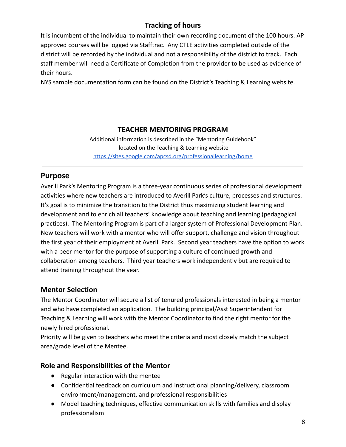# **Tracking of hours**

It is incumbent of the individual to maintain their own recording document of the 100 hours. AP approved courses will be logged via Stafftrac. Any CTLE activities completed outside of the district will be recorded by the individual and not a responsibility of the district to track. Each staff member will need a Certificate of Completion from the provider to be used as evidence of their hours.

NYS sample documentation form can be found on the District's Teaching & Learning website.

# **TEACHER MENTORING PROGRAM**

Additional information is described in the "Mentoring Guidebook" located on the Teaching & Learning website <https://sites.google.com/apcsd.org/professionallearning/home>

# **Purpose**

Averill Park's Mentoring Program is a three-year continuous series of professional development activities where new teachers are introduced to Averill Park's culture, processes and structures. It's goal is to minimize the transition to the District thus maximizing student learning and development and to enrich all teachers' knowledge about teaching and learning (pedagogical practices). The Mentoring Program is part of a larger system of Professional Development Plan. New teachers will work with a mentor who will offer support, challenge and vision throughout the first year of their employment at Averill Park. Second year teachers have the option to work with a peer mentor for the purpose of supporting a culture of continued growth and collaboration among teachers. Third year teachers work independently but are required to attend training throughout the year.

# **Mentor Selection**

The Mentor Coordinator will secure a list of tenured professionals interested in being a mentor and who have completed an application. The building principal/Asst Superintendent for Teaching & Learning will work with the Mentor Coordinator to find the right mentor for the newly hired professional.

Priority will be given to teachers who meet the criteria and most closely match the subject area/grade level of the Mentee.

# **Role and Responsibilities of the Mentor**

- Regular interaction with the mentee
- Confidential feedback on curriculum and instructional planning/delivery, classroom environment/management, and professional responsibilities
- Model teaching techniques, effective communication skills with families and display professionalism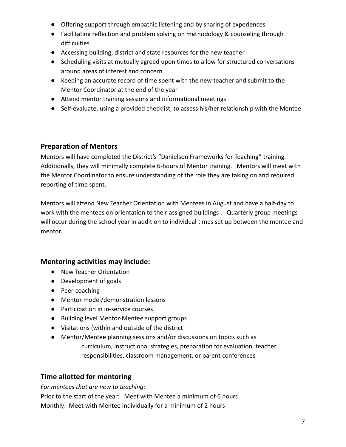- Offering support through empathic listening and by sharing of experiences
- Facilitating reflection and problem solving on methodology & counseling through difficulties
- Accessing building, district and state resources for the new teacher
- Scheduling visits at mutually agreed upon times to allow for structured conversations around areas of interest and concern
- Keeping an accurate record of time spent with the new teacher and submit to the Mentor Coordinator at the end of the year
- Attend mentor training sessions and informational meetings
- Self-evaluate, using a provided checklist, to assess his/her relationship with the Mentee

# **Preparation of Mentors**

Mentors will have completed the District's "Danielson Frameworks for Teaching" training. Additionally, they will minimally complete 6-hours of Mentor training. Mentors will meet with the Mentor Coordinator to ensure understanding of the role they are taking on and required reporting of time spent.

Mentors will attend New Teacher Orientation with Mentees in August and have a half-day to work with the mentees on orientation to their assigned buildings . Quarterly group meetings will occur during the school year in addition to individual times set up between the mentee and mentor.

# **Mentoring activities may include:**

- New Teacher Orientation
- Development of goals
- Peer-coaching
- Mentor model/demonstration lessons
- Participation in in-service courses
- Building level Mentor-Mentee support groups
- Visitations (within and outside of the district
- Mentor/Mentee planning sessions and/or discussions on topics such as curriculum, instructional strategies, preparation for evaluation, teacher responsibilities, classroom management, or parent conferences

# **Time allotted for mentoring**

*For mentees that are new to teaching:*

Prior to the start of the year: Meet with Mentee a minimum of 6 hours Monthly: Meet with Mentee individually for a minimum of 2 hours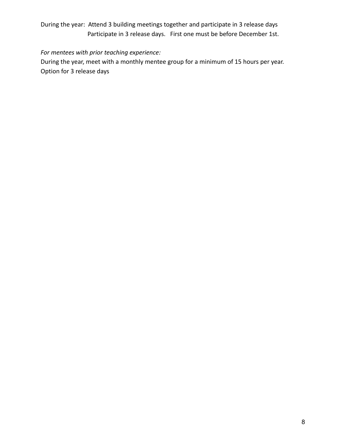# During the year: Attend 3 building meetings together and participate in 3 release days Participate in 3 release days. First one must be before December 1st.

## *For mentees with prior teaching experience:*

During the year, meet with a monthly mentee group for a minimum of 15 hours per year. Option for 3 release days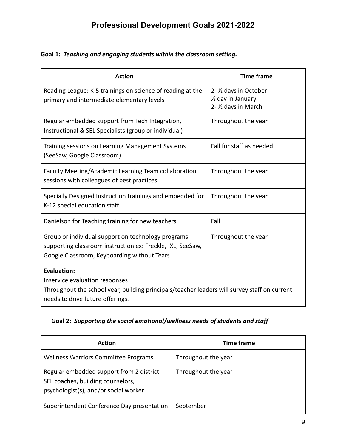# **Goal 1:** *Teaching and engaging students within the classroom setting.*

| <b>Action</b>                                                                                                                                                                            | <b>Time frame</b>                                                    |  |
|------------------------------------------------------------------------------------------------------------------------------------------------------------------------------------------|----------------------------------------------------------------------|--|
| Reading League: K-5 trainings on science of reading at the<br>primary and intermediate elementary levels                                                                                 | 2- 1/2 days in October<br>1/2 day in January<br>2- 1/2 days in March |  |
| Regular embedded support from Tech Integration,<br>Instructional & SEL Specialists (group or individual)                                                                                 | Throughout the year                                                  |  |
| Training sessions on Learning Management Systems<br>(SeeSaw, Google Classroom)                                                                                                           | Fall for staff as needed                                             |  |
| Faculty Meeting/Academic Learning Team collaboration<br>sessions with colleagues of best practices                                                                                       | Throughout the year                                                  |  |
| Specially Designed Instruction trainings and embedded for<br>K-12 special education staff                                                                                                | Throughout the year                                                  |  |
| Danielson for Teaching training for new teachers                                                                                                                                         | Fall                                                                 |  |
| Group or individual support on technology programs<br>supporting classroom instruction ex: Freckle, IXL, SeeSaw,<br>Google Classroom, Keyboarding without Tears                          | Throughout the year                                                  |  |
| <b>Evaluation:</b><br>Inservice evaluation responses<br>Throughout the school year, building principals/teacher leaders will survey staff on current<br>needs to drive future offerings. |                                                                      |  |

# **Goal 2:** *Supporting the social emotional/wellness needs of students and staff*

| <b>Action</b>                                                                                                           | <b>Time frame</b>   |
|-------------------------------------------------------------------------------------------------------------------------|---------------------|
| <b>Wellness Warriors Committee Programs</b>                                                                             | Throughout the year |
| Regular embedded support from 2 district<br>SEL coaches, building counselors,<br>psychologist(s), and/or social worker. | Throughout the year |
| Superintendent Conference Day presentation                                                                              | September           |